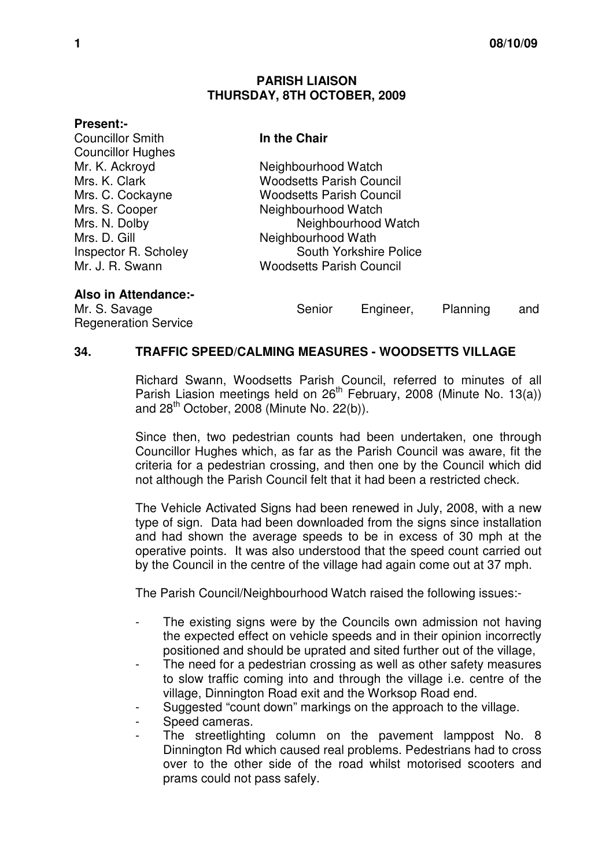## **PARISH LIAISON THURSDAY, 8TH OCTOBER, 2009**

## **Present:-**

| <b>Councillor Smith</b>  |
|--------------------------|
| <b>Councillor Hughes</b> |
| Mr. K. Ackroyd           |
| Mrs. K. Clark            |
| Mrs. C. Cockayne         |
| Mrs. S. Cooper           |
| Mrs. N. Dolby            |
| Mrs. D. Gill             |
| Inspector R. Scholey     |
| Mr. J. R. Swann          |

**In the Chair** 

Neighbourhood Watch **Woodsetts Parish Council Woodsetts Parish Council** Neighbourhood Watch Neighbourhood Watch Neighbourhood Wath **South Yorkshire Police Woodsetts Parish Council** 

**Also in Attendance:-**

Regeneration Service

Mr. S. Savage Senior Engineer, Planning and

## **34. TRAFFIC SPEED/CALMING MEASURES - WOODSETTS VILLAGE**

 Richard Swann, Woodsetts Parish Council, referred to minutes of all Parish Liasion meetings held on 26<sup>th</sup> February, 2008 (Minute No. 13(a)) and  $28<sup>th</sup>$  October, 2008 (Minute No. 22(b)).

Since then, two pedestrian counts had been undertaken, one through Councillor Hughes which, as far as the Parish Council was aware, fit the criteria for a pedestrian crossing, and then one by the Council which did not although the Parish Council felt that it had been a restricted check.

The Vehicle Activated Signs had been renewed in July, 2008, with a new type of sign. Data had been downloaded from the signs since installation and had shown the average speeds to be in excess of 30 mph at the operative points. It was also understood that the speed count carried out by the Council in the centre of the village had again come out at 37 mph.

The Parish Council/Neighbourhood Watch raised the following issues:-

- The existing signs were by the Councils own admission not having the expected effect on vehicle speeds and in their opinion incorrectly positioned and should be uprated and sited further out of the village,
- The need for a pedestrian crossing as well as other safety measures to slow traffic coming into and through the village i.e. centre of the village, Dinnington Road exit and the Worksop Road end.
- Suggested "count down" markings on the approach to the village.
- Speed cameras.
- The streetlighting column on the pavement lamppost No. 8 Dinnington Rd which caused real problems. Pedestrians had to cross over to the other side of the road whilst motorised scooters and prams could not pass safely.